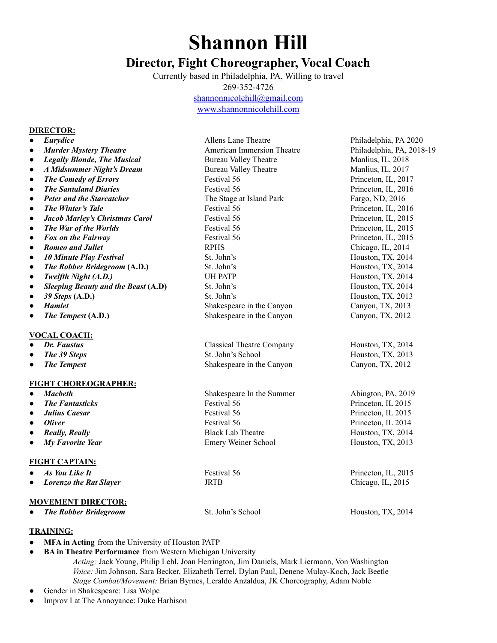## **Shannon Hill**

## **Director, Fight Choreographer, Vocal Coach**

Currently based in Philadelphia, PA, Willing to travel 269-352-4726

[shannonnicolehill@gmail.com](mailto:shannonnicolehill@gmail.com)

[www.shannonnicolehill.com](http://www.shannonnicolehill.com)

## **DIRECTOR:**

| $\bullet$ | Eurydice                            | Allens Lane Theatre              | Philadelphia, PA 2020     |
|-----------|-------------------------------------|----------------------------------|---------------------------|
| $\bullet$ | <b>Murder Mystery Theatre</b>       | American Immersion Theatre       | Philadelphia, PA, 2018-19 |
| $\bullet$ | <b>Legally Blonde, The Musical</b>  | <b>Bureau Valley Theatre</b>     | Manlius, IL, 2018         |
| $\bullet$ | <b>A Midsummer Night's Dream</b>    | <b>Bureau Valley Theatre</b>     | Manlius, IL, 2017         |
| $\bullet$ | <b>The Comedy of Errors</b>         | Festival 56                      | Princeton, IL, 2017       |
| $\bullet$ | <b>The Santaland Diaries</b>        | Festival 56                      | Princeton, IL, 2016       |
| $\bullet$ | <b>Peter and the Starcatcher</b>    | The Stage at Island Park         | Fargo, ND, 2016           |
| $\bullet$ | The Winter's Tale                   | Festival 56                      | Princeton, IL, 2016       |
| $\bullet$ | Jacob Marley's Christmas Carol      | Festival 56                      | Princeton, IL, 2015       |
| $\bullet$ | The War of the Worlds               | Festival 56                      | Princeton, IL, 2015       |
| $\bullet$ | Fox on the Fairway                  | Festival 56                      | Princeton, IL, 2015       |
| $\bullet$ | <b>Romeo and Juliet</b>             | <b>RPHS</b>                      | Chicago, IL, 2014         |
| $\bullet$ | <b>10 Minute Play Festival</b>      | St. John's                       | Houston, TX, 2014         |
| $\bullet$ | The Robber Bridegroom (A.D.)        | St. John's                       | Houston, TX, 2014         |
| $\bullet$ | Twelfth Night (A.D.)                | <b>UH PATP</b>                   | Houston, TX, 2014         |
| $\bullet$ | Sleeping Beauty and the Beast (A.D) | St. John's                       | Houston, TX, 2014         |
| $\bullet$ | 39 Steps (A.D.)                     | St. John's                       | Houston, TX, 2013         |
| $\bullet$ | Hamlet                              | Shakespeare in the Canyon        | Canyon, TX, 2013          |
| $\bullet$ | The Tempest (A.D.)                  | Shakespeare in the Canyon        | Canyon, TX, 2012          |
|           | <b>VOCAL COACH:</b>                 |                                  |                           |
|           | Dr. Faustus                         | <b>Classical Theatre Company</b> | Houston, TX, 2014         |
|           | The 39 Steps                        | St. John's School                | Houston, TX, 2013         |
| $\bullet$ | <b>The Tempest</b>                  | Shakespeare in the Canyon        | Canyon, TX, 2012          |
|           | <b>FIGHT CHOREOGRAPHER:</b>         |                                  |                           |
| $\bullet$ | <b>Macheth</b>                      | Shakespeare In the Summer        | Abington, PA, 2019        |
| $\bullet$ | <b>The Fantasticks</b>              | Festival 56                      | Princeton, IL 2015        |
| $\bullet$ | Julius Caesar                       | Festival 56                      | Princeton, IL 2015        |
| $\bullet$ | <b>Oliver</b>                       | Festival 56                      | Princeton, IL 2014        |
| $\bullet$ | <b>Really, Really</b>               | <b>Black Lab Theatre</b>         | Houston, TX, 2014         |
| $\bullet$ | My Favorite Year                    | Emery Weiner School              | Houston, TX, 2013         |
|           | <b>FIGHT CAPTAIN:</b>               |                                  |                           |
| $\bullet$ | As You Like It                      | Festival 56                      | Princeton, IL, 2015       |
| $\bullet$ | <b>Lorenzo the Rat Slayer</b>       | <b>JRTB</b>                      | Chicago, IL, 2015         |
|           | <b>MOVEMENT DIRECTOR:</b>           |                                  |                           |
|           | <b>The Robber Bridegroom</b>        | St. John's School                | Houston, TX, 2014         |
|           |                                     |                                  |                           |

## **TRAINING:**

- **MFA in Acting** from the University of Houston PATP
- **BA in Theatre Performance** from Western Michigan University *Acting:* Jack Young, Philip Lehl, Joan Herrington, Jim Daniels, Mark Liermann, Von Washington *Voice:* Jim Johnson, Sara Becker, Elizabeth Terrel, Dylan Paul, Denene Mulay-Koch, Jack Beetle *Stage Combat/Movement:* Brian Byrnes, Leraldo Anzaldua, JK Choreography, Adam Noble
- Gender in Shakespeare: Lisa Wolpe
- Improv I at The Annoyance: Duke Harbison